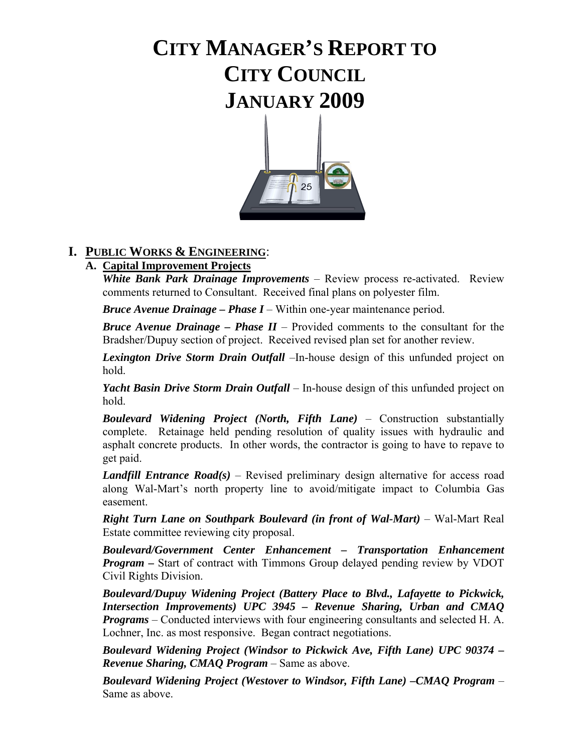# **CITY MANAGER'S REPORT TO CITY COUNCIL JANUARY 2009**



### **I. PUBLIC WORKS & ENGINEERING**:

### **A. Capital Improvement Projects**

 *White Bank Park Drainage Improvements* – Review process re-activated. Review comments returned to Consultant. Received final plans on polyester film.

*Bruce Avenue Drainage – Phase I* – Within one-year maintenance period.

*Bruce Avenue Drainage – Phase II* – Provided comments to the consultant for the Bradsher/Dupuy section of project. Received revised plan set for another review.

*Lexington Drive Storm Drain Outfall* –In-house design of this unfunded project on hold.

 *Yacht Basin Drive Storm Drain Outfall* – In-house design of this unfunded project on hold.

*Boulevard Widening Project (North, Fifth Lane)* – Construction substantially complete. Retainage held pending resolution of quality issues with hydraulic and asphalt concrete products. In other words, the contractor is going to have to repave to get paid.

*Landfill Entrance Road(s)* – Revised preliminary design alternative for access road along Wal-Mart's north property line to avoid/mitigate impact to Columbia Gas easement.

*Right Turn Lane on Southpark Boulevard (in front of Wal-Mart)* – Wal-Mart Real Estate committee reviewing city proposal.

 *Boulevard/Government Center Enhancement – Transportation Enhancement Program* – Start of contract with Timmons Group delayed pending review by VDOT Civil Rights Division.

*Boulevard/Dupuy Widening Project (Battery Place to Blvd., Lafayette to Pickwick, Intersection Improvements) UPC 3945 – Revenue Sharing, Urban and CMAQ Programs* – Conducted interviews with four engineering consultants and selected H. A. Lochner, Inc. as most responsive. Began contract negotiations.

*Boulevard Widening Project (Windsor to Pickwick Ave, Fifth Lane) UPC 90374 – Revenue Sharing, CMAQ Program* – Same as above.

 *Boulevard Widening Project (Westover to Windsor, Fifth Lane) –CMAQ Program* – Same as above.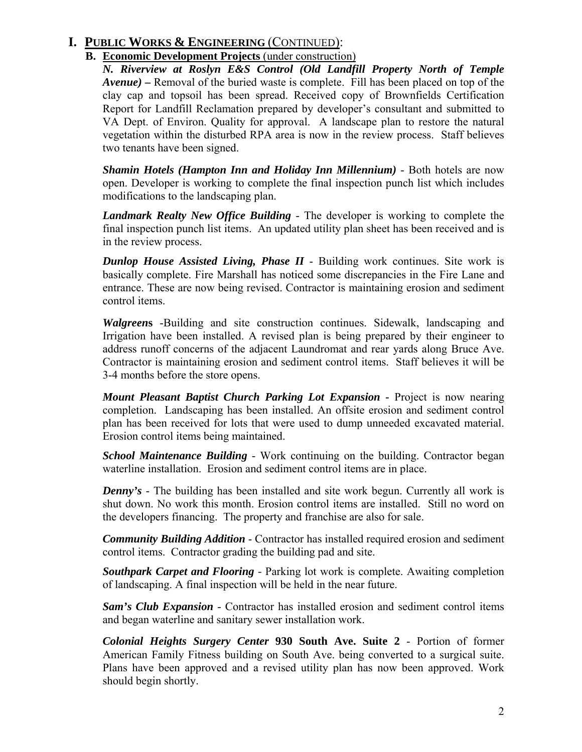### **I. PUBLIC WORKS & ENGINEERING** (CONTINUED):

#### **B. Economic Development Projects** (under construction)

*N. Riverview at Roslyn E&S Control (Old Landfill Property North of Temple Avenue) –* Removal of the buried waste is complete. Fill has been placed on top of the clay cap and topsoil has been spread. Received copy of Brownfields Certification Report for Landfill Reclamation prepared by developer's consultant and submitted to VA Dept. of Environ. Quality for approval. A landscape plan to restore the natural vegetation within the disturbed RPA area is now in the review process. Staff believes two tenants have been signed.

*Shamin Hotels (Hampton Inn and Holiday Inn Millennium)* - Both hotels are now open. Developer is working to complete the final inspection punch list which includes modifications to the landscaping plan.

*Landmark Realty New Office Building* - The developer is working to complete the final inspection punch list items. An updated utility plan sheet has been received and is in the review process.

*Dunlop House Assisted Living, Phase II* - Building work continues. Site work is basically complete. Fire Marshall has noticed some discrepancies in the Fire Lane and entrance. These are now being revised. Contractor is maintaining erosion and sediment control items.

*Walgreen***s** -Building and site construction continues. Sidewalk, landscaping and Irrigation have been installed. A revised plan is being prepared by their engineer to address runoff concerns of the adjacent Laundromat and rear yards along Bruce Ave. Contractor is maintaining erosion and sediment control items. Staff believes it will be 3-4 months before the store opens.

*Mount Pleasant Baptist Church Parking Lot Expansion - Project is now nearing* completion. Landscaping has been installed. An offsite erosion and sediment control plan has been received for lots that were used to dump unneeded excavated material. Erosion control items being maintained.

*School Maintenance Building* - Work continuing on the building. Contractor began waterline installation. Erosion and sediment control items are in place.

*Denny's* - The building has been installed and site work begun. Currently all work is shut down. No work this month. Erosion control items are installed. Still no word on the developers financing. The property and franchise are also for sale.

*Community Building Addition* - Contractor has installed required erosion and sediment control items. Contractor grading the building pad and site.

*Southpark Carpet and Flooring -* Parking lot work is complete. Awaiting completion of landscaping. A final inspection will be held in the near future.

*Sam's Club Expansion* - Contractor has installed erosion and sediment control items and began waterline and sanitary sewer installation work.

*Colonial Heights Surgery Center* **930 South Ave. Suite 2** - Portion of former American Family Fitness building on South Ave. being converted to a surgical suite. Plans have been approved and a revised utility plan has now been approved. Work should begin shortly.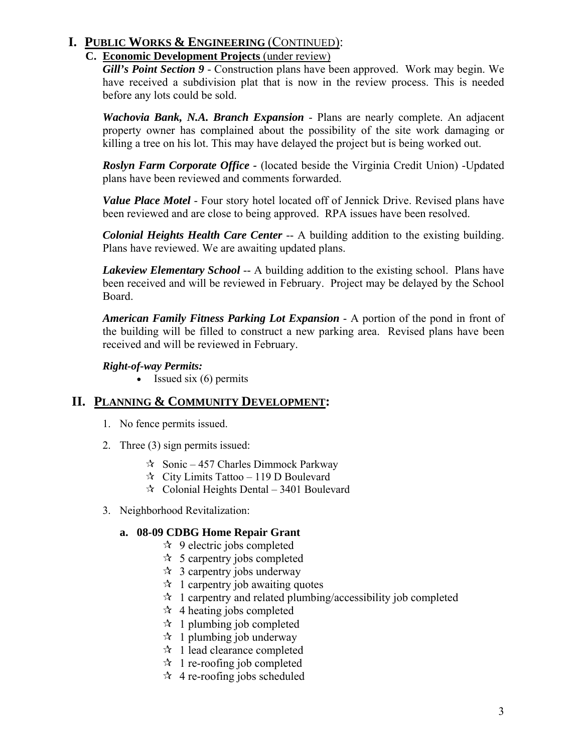### **I. PUBLIC WORKS & ENGINEERING** (CONTINUED):

#### **C. Economic Development Projects** (under review)

*Gill's Point Section 9* - Construction plans have been approved. Work may begin. We have received a subdivision plat that is now in the review process. This is needed before any lots could be sold.

*Wachovia Bank, N.A. Branch Expansion* - Plans are nearly complete. An adjacent property owner has complained about the possibility of the site work damaging or killing a tree on his lot. This may have delayed the project but is being worked out.

*Roslyn Farm Corporate Office -* (located beside the Virginia Credit Union) -Updated plans have been reviewed and comments forwarded.

*Value Place Motel* - Four story hotel located off of Jennick Drive. Revised plans have been reviewed and are close to being approved. RPA issues have been resolved.

*Colonial Heights Health Care Center* -- A building addition to the existing building. Plans have reviewed. We are awaiting updated plans.

*Lakeview Elementary School* -- A building addition to the existing school. Plans have been received and will be reviewed in February. Project may be delayed by the School Board.

*American Family Fitness Parking Lot Expansion* - A portion of the pond in front of the building will be filled to construct a new parking area. Revised plans have been received and will be reviewed in February.

#### *Right-of-way Permits:*

• Issued six  $(6)$  permits

### **II. PLANNING & COMMUNITY DEVELOPMENT:**

- 1. No fence permits issued.
- 2. Three (3) sign permits issued:
	- $\approx$  Sonic 457 Charles Dimmock Parkway
	- $\approx$  City Limits Tattoo 119 D Boulevard
	- $\approx$  Colonial Heights Dental 3401 Boulevard
- 3. Neighborhood Revitalization:

#### **a. 08-09 CDBG Home Repair Grant**

- $\approx$  9 electric jobs completed
- $\approx$  5 carpentry jobs completed
- $\approx$  3 carpentry jobs underway
- $\approx$  1 carpentry job awaiting quotes
- $\hat{x}$  1 carpentry and related plumbing/accessibility job completed
- $\star$  4 heating jobs completed
- $\approx$  1 plumbing job completed
- $\approx$  1 plumbing job underway
- $\approx$  1 lead clearance completed
- $\approx$  1 re-roofing job completed
- $\star$  4 re-roofing jobs scheduled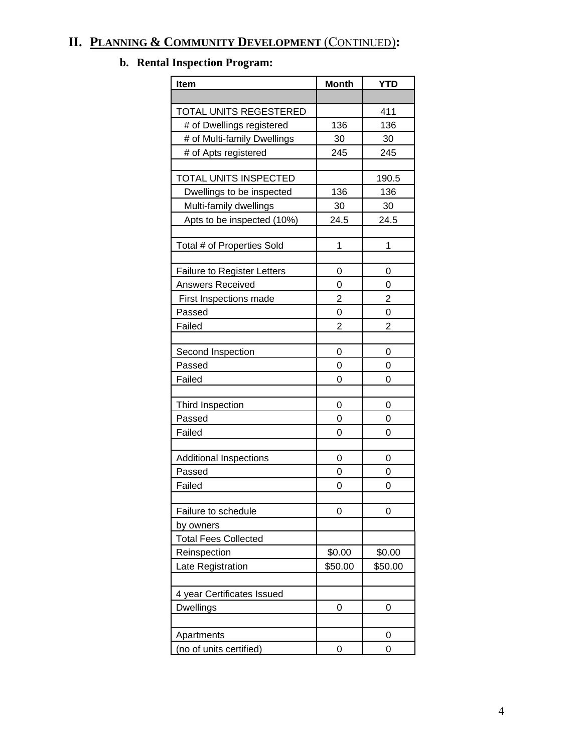# **II. PLANNING & COMMUNITY DEVELOPMENT** (CONTINUED)**:**

# **b. Rental Inspection Program:**

| <b>Item</b>                        | <b>Month</b> | <b>YTD</b> |  |
|------------------------------------|--------------|------------|--|
|                                    |              |            |  |
| TOTAL UNITS REGESTERED             |              | 411        |  |
| # of Dwellings registered          | 136          | 136        |  |
| # of Multi-family Dwellings        | 30           | 30         |  |
| # of Apts registered               | 245          | 245        |  |
|                                    |              |            |  |
| TOTAL UNITS INSPECTED              |              | 190.5      |  |
| Dwellings to be inspected          | 136          | 136        |  |
| Multi-family dwellings             | 30           | 30         |  |
| Apts to be inspected (10%)         | 24.5         | 24.5       |  |
|                                    |              |            |  |
| Total # of Properties Sold         | 1            | 1          |  |
|                                    |              |            |  |
| <b>Failure to Register Letters</b> | 0            | 0          |  |
| <b>Answers Received</b>            | 0            | 0          |  |
| First Inspections made             | 2            | 2          |  |
| Passed<br>Failed                   | 0<br>2       | 0<br>2     |  |
|                                    |              |            |  |
| Second Inspection                  | 0            | 0          |  |
| Passed                             | 0            | 0          |  |
| Failed                             | 0            | 0          |  |
|                                    |              |            |  |
| Third Inspection                   | 0            | 0          |  |
| Passed                             | 0            | 0          |  |
| Failed                             | 0            | 0          |  |
|                                    |              |            |  |
| Additional Inspections             | 0            | 0          |  |
| Passed                             | 0            | 0          |  |
| Failed                             | 0            | 0          |  |
|                                    |              |            |  |
| Failure to schedule                | 0            | 0          |  |
| by owners                          |              |            |  |
| <b>Total Fees Collected</b>        |              |            |  |
| Reinspection                       | \$0.00       | \$0.00     |  |
| Late Registration                  | \$50.00      | \$50.00    |  |
|                                    |              |            |  |
| 4 year Certificates Issued         |              |            |  |
| <b>Dwellings</b>                   | 0            | 0          |  |
|                                    |              |            |  |
| Apartments                         |              | 0          |  |
| (no of units certified)            | 0            | 0          |  |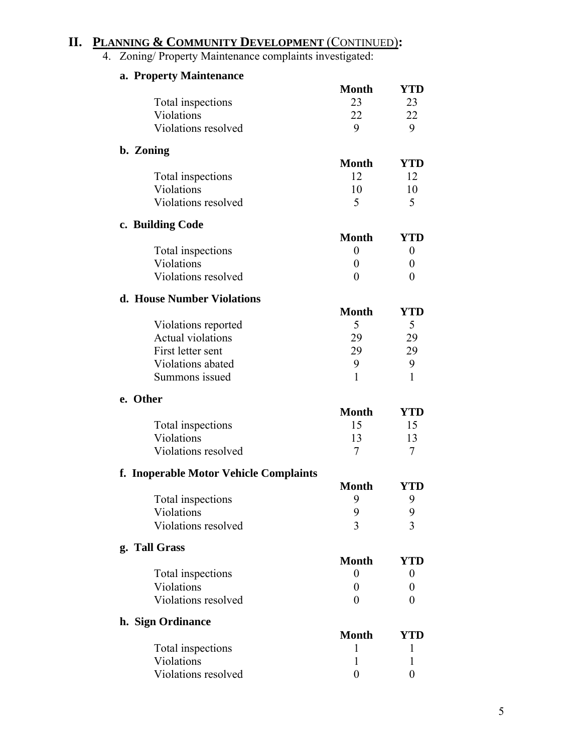### **II. PLANNING & COMMUNITY DEVELOPMENT** (CONTINUED)**:**

4. Zoning/ Property Maintenance complaints investigated:

| a. Property Maintenance                |                  |            |
|----------------------------------------|------------------|------------|
|                                        | <b>Month</b>     | <b>YTD</b> |
| Total inspections                      | 23               | 23         |
| Violations                             | 22               | 22         |
| Violations resolved                    | 9                | 9          |
| b. Zoning                              |                  |            |
|                                        | <b>Month</b>     | <b>YTD</b> |
| Total inspections                      | 12               | 12         |
| Violations                             | 10               | 10         |
| Violations resolved                    | 5                | 5          |
| c. Building Code                       |                  |            |
|                                        | <b>Month</b>     | <b>YTD</b> |
| Total inspections                      | $\overline{0}$   | 0          |
| Violations                             | 0                | $\theta$   |
| Violations resolved                    | $\theta$         | 0          |
| d. House Number Violations             |                  |            |
|                                        | <b>Month</b>     | YTD        |
| Violations reported                    | 5                | 5          |
| <b>Actual violations</b>               | 29               | 29         |
| First letter sent                      | 29               | 29         |
| Violations abated                      | 9                | 9          |
| Summons issued                         | 1                | 1          |
| e. Other                               | <b>Month</b>     |            |
|                                        |                  | <b>YTD</b> |
| Total inspections                      | 15               | 15         |
| Violations                             | 13               | 13         |
| Violations resolved                    | 7                | 7          |
| f. Inoperable Motor Vehicle Complaints |                  |            |
|                                        | <b>Month</b>     | YTD        |
| Total inspections                      | 9                | 9          |
| Violations                             | 9                | 9          |
| Violations resolved                    | $\overline{3}$   | 3          |
| g. Tall Grass                          | <b>Month</b>     | YTD        |
|                                        | $\boldsymbol{0}$ |            |
| Total inspections<br>Violations        |                  | 0          |
|                                        | 0                | 0          |
| Violations resolved                    | $\overline{0}$   | 0          |
| h. Sign Ordinance                      | <b>Month</b>     | <b>YTD</b> |
| Total inspections                      | 1                | 1          |
| Violations                             | 1                | I          |
| Violations resolved                    | $\boldsymbol{0}$ | 0          |
|                                        |                  |            |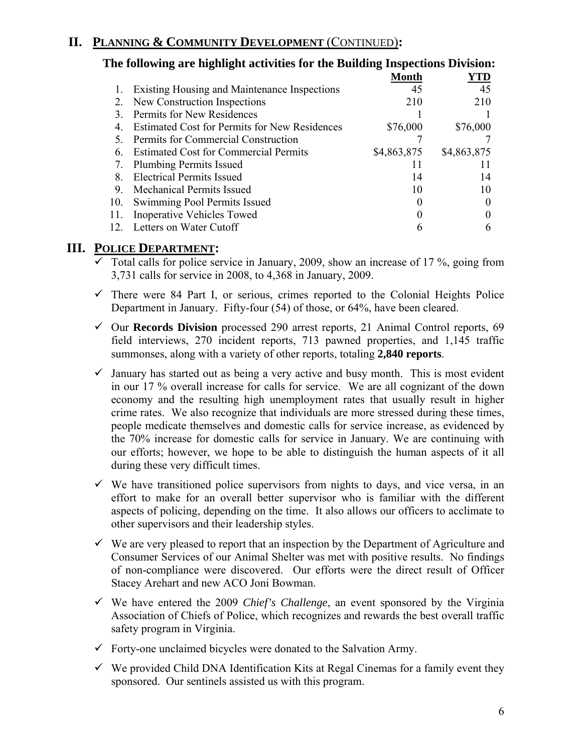### **II. PLANNING & COMMUNITY DEVELOPMENT** (CONTINUED)**:**

|     | The following are highlight activities for the Building Inspections Division: |              |             |
|-----|-------------------------------------------------------------------------------|--------------|-------------|
|     |                                                                               | <b>Month</b> | YTD         |
|     | Existing Housing and Maintenance Inspections                                  | 45           | 45          |
|     | New Construction Inspections                                                  | 210          | 210         |
|     | Permits for New Residences                                                    |              |             |
|     | <b>Estimated Cost for Permits for New Residences</b>                          | \$76,000     | \$76,000    |
|     | Permits for Commercial Construction                                           |              |             |
| 6   | <b>Estimated Cost for Commercial Permits</b>                                  | \$4,863,875  | \$4,863,875 |
|     | <b>Plumbing Permits Issued</b>                                                | $\mathbf{I}$ | Ħ           |
| 8   | <b>Electrical Permits Issued</b>                                              | 14           | 14          |
| 9.  | <b>Mechanical Permits Issued</b>                                              | 10           | 10          |
| 10. | Swimming Pool Permits Issued                                                  |              |             |
| 11. | <b>Inoperative Vehicles Towed</b>                                             |              |             |
|     | Letters on Water Cutoff                                                       |              |             |

#### **III. POLICE DEPARTMENT:**

- $\overline{\smile}$  Total calls for police service in January, 2009, show an increase of 17 %, going from 3,731 calls for service in 2008, to 4,368 in January, 2009.
- $\checkmark$  There were 84 Part I, or serious, crimes reported to the Colonial Heights Police Department in January. Fifty-four (54) of those, or 64%, have been cleared.
- 9 Our **Records Division** processed 290 arrest reports, 21 Animal Control reports, 69 field interviews, 270 incident reports, 713 pawned properties, and 1,145 traffic summonses, along with a variety of other reports, totaling **2,840 reports**.
- $\checkmark$  January has started out as being a very active and busy month. This is most evident in our 17 % overall increase for calls for service. We are all cognizant of the down economy and the resulting high unemployment rates that usually result in higher crime rates. We also recognize that individuals are more stressed during these times, people medicate themselves and domestic calls for service increase, as evidenced by the 70% increase for domestic calls for service in January. We are continuing with our efforts; however, we hope to be able to distinguish the human aspects of it all during these very difficult times.
- $\checkmark$  We have transitioned police supervisors from nights to days, and vice versa, in an effort to make for an overall better supervisor who is familiar with the different aspects of policing, depending on the time. It also allows our officers to acclimate to other supervisors and their leadership styles.
- $\checkmark$  We are very pleased to report that an inspection by the Department of Agriculture and Consumer Services of our Animal Shelter was met with positive results. No findings of non-compliance were discovered. Our efforts were the direct result of Officer Stacey Arehart and new ACO Joni Bowman.
- $\checkmark$  We have entered the 2009 *Chief's Challenge*, an event sponsored by the Virginia Association of Chiefs of Police, which recognizes and rewards the best overall traffic safety program in Virginia.
- $\checkmark$  Forty-one unclaimed bicycles were donated to the Salvation Army.
- $\checkmark$  We provided Child DNA Identification Kits at Regal Cinemas for a family event they sponsored. Our sentinels assisted us with this program.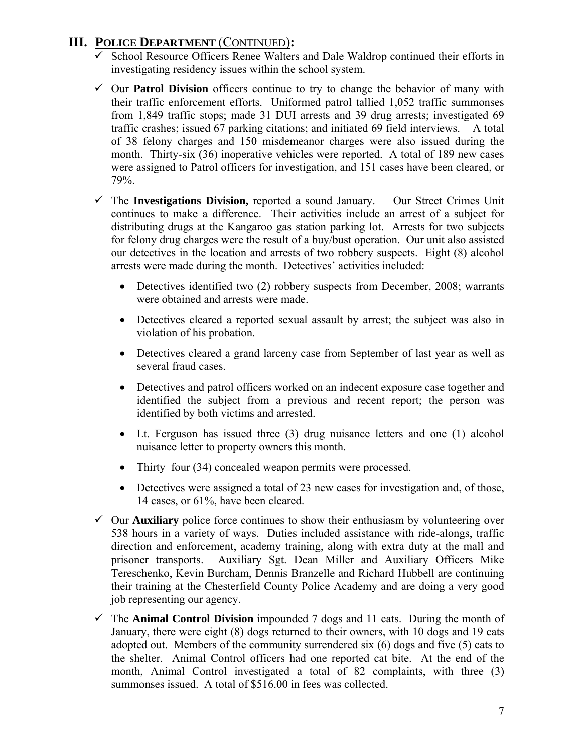### **III. POLICE DEPARTMENT** (CONTINUED)**:**

- $\checkmark$  School Resource Officers Renee Walters and Dale Waldrop continued their efforts in investigating residency issues within the school system.
- $\checkmark$  Our **Patrol Division** officers continue to try to change the behavior of many with their traffic enforcement efforts. Uniformed patrol tallied 1,052 traffic summonses from 1,849 traffic stops; made 31 DUI arrests and 39 drug arrests; investigated 69 traffic crashes; issued 67 parking citations; and initiated 69 field interviews. A total of 38 felony charges and 150 misdemeanor charges were also issued during the month. Thirty-six (36) inoperative vehicles were reported. A total of 189 new cases were assigned to Patrol officers for investigation, and 151 cases have been cleared, or 79%.
- 9 The **Investigations Division,** reported a sound January. Our Street Crimes Unit continues to make a difference. Their activities include an arrest of a subject for distributing drugs at the Kangaroo gas station parking lot. Arrests for two subjects for felony drug charges were the result of a buy/bust operation. Our unit also assisted our detectives in the location and arrests of two robbery suspects. Eight (8) alcohol arrests were made during the month. Detectives' activities included:
	- Detectives identified two (2) robbery suspects from December, 2008; warrants were obtained and arrests were made.
	- Detectives cleared a reported sexual assault by arrest; the subject was also in violation of his probation.
	- Detectives cleared a grand larceny case from September of last year as well as several fraud cases.
	- Detectives and patrol officers worked on an indecent exposure case together and identified the subject from a previous and recent report; the person was identified by both victims and arrested.
	- Lt. Ferguson has issued three (3) drug nuisance letters and one (1) alcohol nuisance letter to property owners this month.
	- Thirty–four (34) concealed weapon permits were processed.
	- Detectives were assigned a total of 23 new cases for investigation and, of those, 14 cases, or 61%, have been cleared.
- $\checkmark$  Our **Auxiliary** police force continues to show their enthusiasm by volunteering over 538 hours in a variety of ways. Duties included assistance with ride-alongs, traffic direction and enforcement, academy training, along with extra duty at the mall and prisoner transports. Auxiliary Sgt. Dean Miller and Auxiliary Officers Mike Tereschenko, Kevin Burcham, Dennis Branzelle and Richard Hubbell are continuing their training at the Chesterfield County Police Academy and are doing a very good job representing our agency.
- $\checkmark$  The **Animal Control Division** impounded 7 dogs and 11 cats. During the month of January, there were eight (8) dogs returned to their owners, with 10 dogs and 19 cats adopted out. Members of the community surrendered six (6) dogs and five (5) cats to the shelter. Animal Control officers had one reported cat bite. At the end of the month, Animal Control investigated a total of 82 complaints, with three (3) summonses issued. A total of \$516.00 in fees was collected.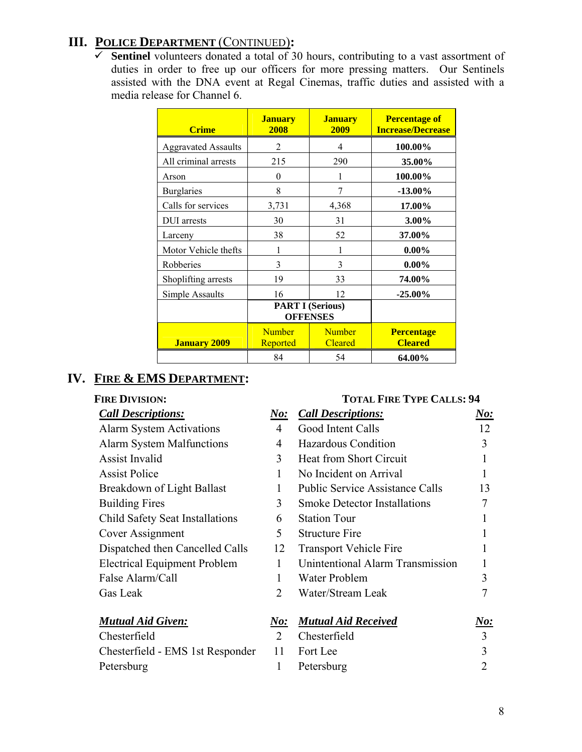# **III. POLICE DEPARTMENT** (CONTINUED)**:**

 $\overline{\smash[b]{\mathsf{F}}\!\!}$  **Sentinel** volunteers donated a total of 30 hours, contributing to a vast assortment of duties in order to free up our officers for more pressing matters. Our Sentinels assisted with the DNA event at Regal Cinemas, traffic duties and assisted with a media release for Channel 6.

| <b>Crime</b>               | <b>January</b><br>2008                     | <b>January</b><br>2009          | <b>Percentage of</b><br><b>Increase/Decrease</b> |
|----------------------------|--------------------------------------------|---------------------------------|--------------------------------------------------|
| <b>Aggravated Assaults</b> | 2                                          | 4                               | 100.00%                                          |
| All criminal arrests       | 215                                        | 290                             | 35.00%                                           |
| Arson                      | $\theta$                                   | 1                               | 100.00%                                          |
| <b>Burglaries</b>          | 8                                          | 7                               | $-13.00\%$                                       |
| Calls for services         | 3,731                                      | 4,368                           | 17.00%                                           |
| DUI arrests                | 30                                         | 31                              | $3.00\%$                                         |
| Larceny                    | 38                                         | 52                              | 37.00%                                           |
| Motor Vehicle thefts       |                                            |                                 | $0.00\%$                                         |
| Robberies                  | 3                                          | 3                               | $0.00\%$                                         |
| Shoplifting arrests        | 19                                         | 33                              | 74.00%                                           |
| Simple Assaults            | 16                                         | 12                              | $-25.00\%$                                       |
|                            | <b>PART I (Serious)</b><br><b>OFFENSES</b> |                                 |                                                  |
| <b>January 2009</b>        | <b>Number</b><br>Reported                  | <b>Number</b><br><b>Cleared</b> | <b>Percentage</b><br><b>Cleared</b>              |
|                            | 84                                         | 54                              | 64.00%                                           |

### **IV. FIRE & EMS DEPARTMENT:**

# **FIRE DIVISION: TOTAL FIRE TYPE CALLS: 94**

| Г <b>ІКЕ ІЛУІЗІОВ.</b>           |
|----------------------------------|
| <b>Call Descriptions:</b>        |
| <b>Alarm System Activations</b>  |
| <b>Alarm System Malfunctions</b> |
| <b>Assist Invalid</b>            |
| <b>Assist Police</b>             |
| Breakdown of Light Ballast       |
| <b>Building Fires</b>            |
| Child Safety Seat Installations  |
| Cover Assignment                 |
| Dispatched then Cancelled Calls  |

# *Call Descriptions: No: Call Descriptions: No:*

| Call Descriptions:                     | <i>IVO:</i>    | <b>Call Descriptions:</b>              | <u>ivo:</u> |
|----------------------------------------|----------------|----------------------------------------|-------------|
| <b>Alarm System Activations</b>        | $\overline{4}$ | Good Intent Calls                      | 12          |
| <b>Alarm System Malfunctions</b>       | 4              | Hazardous Condition                    | 3           |
| <b>Assist Invalid</b>                  | 3              | Heat from Short Circuit                |             |
| <b>Assist Police</b>                   |                | No Incident on Arrival                 |             |
| Breakdown of Light Ballast             |                | <b>Public Service Assistance Calls</b> | 13          |
| <b>Building Fires</b>                  | 3              | <b>Smoke Detector Installations</b>    |             |
| <b>Child Safety Seat Installations</b> | 6              | <b>Station Tour</b>                    |             |
| Cover Assignment                       | 5              | <b>Structure Fire</b>                  |             |
| Dispatched then Cancelled Calls        | 12             | <b>Transport Vehicle Fire</b>          |             |
| <b>Electrical Equipment Problem</b>    | 1              | Unintentional Alarm Transmission       |             |
| False Alarm/Call                       |                | Water Problem                          | 3           |
| Gas Leak                               | 2              | Water/Stream Leak                      |             |
| <b>Mutual Aid Given:</b>               | No:            | <b>Mutual Aid Received</b>             | No:         |
| Chesterfield                           | $\mathcal{L}$  | Chesterfield                           | 3           |
| Chesterfield - EMS 1st Responder       | 11             | Fort Lee                               | 3           |

Petersburg 1 Petersburg 2

| Chesterfield                     |  |
|----------------------------------|--|
| Chesterfield - EMS 1st Responder |  |
| Petersburg                       |  |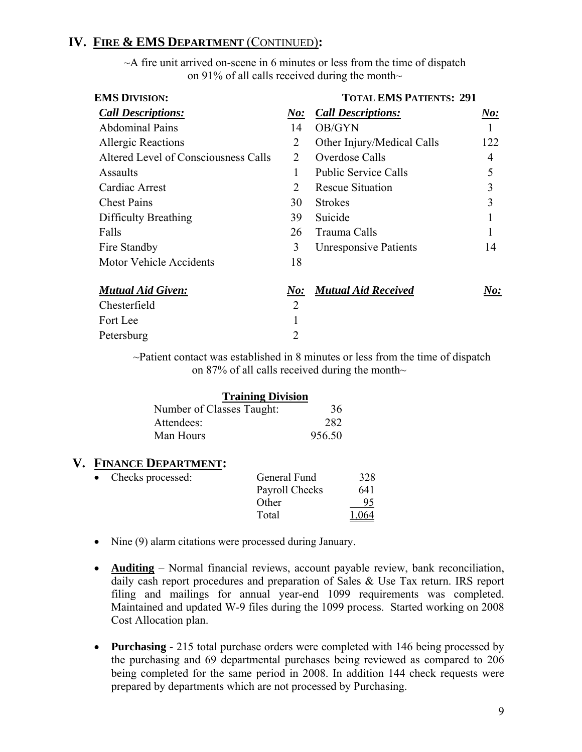### **IV. FIRE & EMS DEPARTMENT** (CONTINUED)**:**

 $\sim$ A fire unit arrived on-scene in 6 minutes or less from the time of dispatch on 91% of all calls received during the month $\sim$ 

| <b>EMS DIVISION:</b>                 |                             | <b>TOTAL EMS PATIENTS: 291</b> |        |  |
|--------------------------------------|-----------------------------|--------------------------------|--------|--|
| <b>Call Descriptions:</b>            | $\boldsymbol{\it No:}$      | <b>Call Descriptions:</b>      | $N$ o: |  |
| <b>Abdominal Pains</b>               | 14                          | OB/GYN                         |        |  |
| <b>Allergic Reactions</b>            | 2                           | Other Injury/Medical Calls     | 122    |  |
| Altered Level of Consciousness Calls | 2                           | Overdose Calls                 | 4      |  |
| Assaults                             |                             | <b>Public Service Calls</b>    | 5      |  |
| Cardiac Arrest                       | $\mathcal{D}_{\mathcal{L}}$ | <b>Rescue Situation</b>        | 3      |  |
| <b>Chest Pains</b>                   | 30                          | <b>Strokes</b>                 | 3      |  |
| Difficulty Breathing                 | 39                          | Suicide                        |        |  |
| Falls                                | 26                          | Trauma Calls                   |        |  |
| Fire Standby                         | 3                           | <b>Unresponsive Patients</b>   | 14     |  |
| <b>Motor Vehicle Accidents</b>       | 18                          |                                |        |  |
| <b>Mutual Aid Given:</b>             | $\boldsymbol{\it No:}$      | <b>Mutual Aid Received</b>     | No:    |  |
| Chesterfield                         | $\overline{2}$              |                                |        |  |
| Fort Lee                             |                             |                                |        |  |
| Petersburg                           | 2                           |                                |        |  |

~Patient contact was established in 8 minutes or less from the time of dispatch on 87% of all calls received during the month $\sim$ 

| <b>Training Division</b>  |        |
|---------------------------|--------|
| Number of Classes Taught: | 36     |
| Attendees:                | 282    |
| Man Hours                 | 956.50 |

### **V. FINANCE DEPARTMENT:**

| $\bullet$ | Checks processed: | General Fund   | 328   |
|-----------|-------------------|----------------|-------|
|           |                   | Payroll Checks | 641   |
|           |                   | Other          | 95    |
|           |                   | Total          | 1.064 |

- Nine (9) alarm citations were processed during January.
- **Auditing** Normal financial reviews, account payable review, bank reconciliation, daily cash report procedures and preparation of Sales & Use Tax return. IRS report filing and mailings for annual year-end 1099 requirements was completed. Maintained and updated W-9 files during the 1099 process. Started working on 2008 Cost Allocation plan.
- **Purchasing**  215 total purchase orders were completed with 146 being processed by the purchasing and 69 departmental purchases being reviewed as compared to 206 being completed for the same period in 2008. In addition 144 check requests were prepared by departments which are not processed by Purchasing.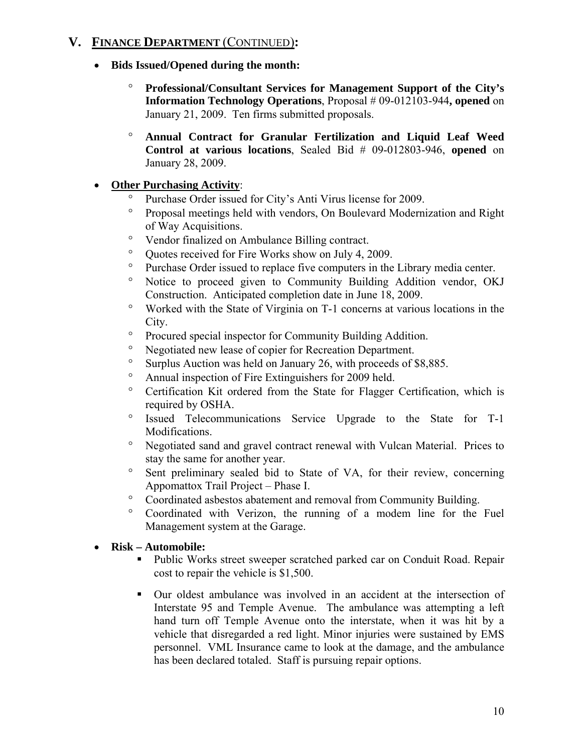### **V. FINANCE DEPARTMENT** (CONTINUED)**:**

- **Bids Issued/Opened during the month:** 
	- ° **Professional/Consultant Services for Management Support of the City's Information Technology Operations**, Proposal # 09-012103-944, opened on January 21, 2009. Ten firms submitted proposals.
	- ° **Annual Contract for Granular Fertilization and Liquid Leaf Weed Control at various locations**, Sealed Bid # 09-012803-946, **opened** on January 28, 2009.

### • **Other Purchasing Activity**:

- Purchase Order issued for City's Anti Virus license for 2009.
- ° Proposal meetings held with vendors, On Boulevard Modernization and Right of Way Acquisitions.
- ° Vendor finalized on Ambulance Billing contract.
- ° Quotes received for Fire Works show on July 4, 2009.
- ° Purchase Order issued to replace five computers in the Library media center.
- ° Notice to proceed given to Community Building Addition vendor, OKJ Construction. Anticipated completion date in June 18, 2009.
- ° Worked with the State of Virginia on T-1 concerns at various locations in the City.
- ° Procured special inspector for Community Building Addition.
- ° Negotiated new lease of copier for Recreation Department.
- ° Surplus Auction was held on January 26, with proceeds of \$8,885.
- ° Annual inspection of Fire Extinguishers for 2009 held.
- ° Certification Kit ordered from the State for Flagger Certification, which is required by OSHA.
- ° Issued Telecommunications Service Upgrade to the State for T-1 Modifications.
- ° Negotiated sand and gravel contract renewal with Vulcan Material. Prices to stay the same for another year.
- ° Sent preliminary sealed bid to State of VA, for their review, concerning Appomattox Trail Project – Phase I.
- ° Coordinated asbestos abatement and removal from Community Building.
- ° Coordinated with Verizon, the running of a modem line for the Fuel Management system at the Garage.

### • **Risk – Automobile:**

- Public Works street sweeper scratched parked car on Conduit Road. Repair cost to repair the vehicle is \$1,500.
- Our oldest ambulance was involved in an accident at the intersection of Interstate 95 and Temple Avenue. The ambulance was attempting a left hand turn off Temple Avenue onto the interstate, when it was hit by a vehicle that disregarded a red light. Minor injuries were sustained by EMS personnel. VML Insurance came to look at the damage, and the ambulance has been declared totaled. Staff is pursuing repair options.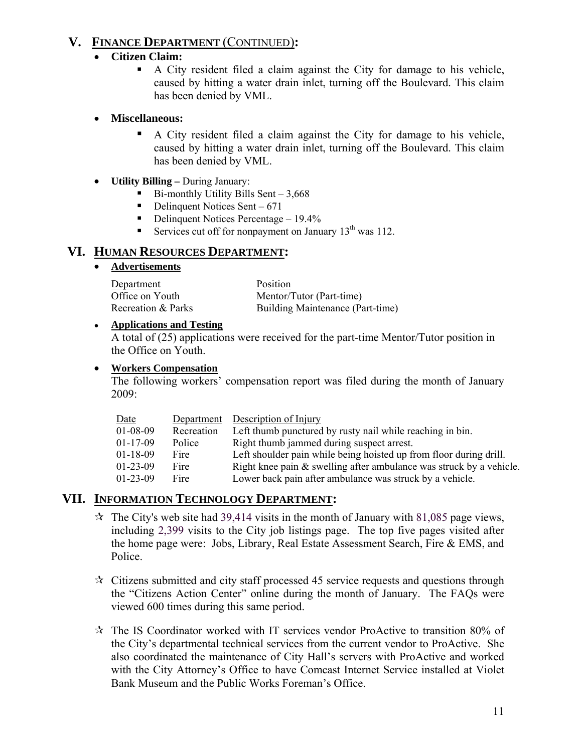### **V. FINANCE DEPARTMENT** (CONTINUED)**:**

#### • **Citizen Claim:**

 A City resident filed a claim against the City for damage to his vehicle, caused by hitting a water drain inlet, turning off the Boulevard. This claim has been denied by VML.

#### • **Miscellaneous:**

- A City resident filed a claim against the City for damage to his vehicle, caused by hitting a water drain inlet, turning off the Boulevard. This claim has been denied by VML.
- **Utility Billing** During January:
	- $\blacksquare$  Bi-monthly Utility Bills Sent 3,668
	- $\blacksquare$  Delinquent Notices Sent 671
	- Delinquent Notices Percentage  $-19.4\%$
	- Services cut off for nonpayment on January  $13<sup>th</sup>$  was 112.

#### **VI. HUMAN RESOURCES DEPARTMENT:**

#### • **Advertisements**

| Department         | Position                         |
|--------------------|----------------------------------|
| Office on Youth    | Mentor/Tutor (Part-time)         |
| Recreation & Parks | Building Maintenance (Part-time) |

#### ● **Applications and Testing**

A total of (25) applications were received for the part-time Mentor/Tutor position in the Office on Youth.

#### • **Workers Compensation**

The following workers' compensation report was filed during the month of January 2009:

| Date           | Department | Description of Injury                                               |
|----------------|------------|---------------------------------------------------------------------|
| $01 - 08 - 09$ | Recreation | Left thumb punctured by rusty nail while reaching in bin.           |
| $01 - 17 - 09$ | Police     | Right thumb jammed during suspect arrest.                           |
| $01 - 18 - 09$ | Fire       | Left shoulder pain while being hoisted up from floor during drill.  |
| $01-23-09$     | Fire       | Right knee pain & swelling after ambulance was struck by a vehicle. |
| $01-23-09$     | Fire       | Lower back pain after ambulance was struck by a vehicle.            |

### **VII. INFORMATION TECHNOLOGY DEPARTMENT:**

- $\approx$  The City's web site had 39,414 visits in the month of January with 81,085 page views, including 2,399 visits to the City job listings page. The top five pages visited after the home page were: Jobs, Library, Real Estate Assessment Search, Fire & EMS, and Police.
- $\lambda$  Citizens submitted and city staff processed 45 service requests and questions through the "Citizens Action Center" online during the month of January. The FAQs were viewed 600 times during this same period.
- $\star$  The IS Coordinator worked with IT services vendor ProActive to transition 80% of the City's departmental technical services from the current vendor to ProActive. She also coordinated the maintenance of City Hall's servers with ProActive and worked with the City Attorney's Office to have Comcast Internet Service installed at Violet Bank Museum and the Public Works Foreman's Office.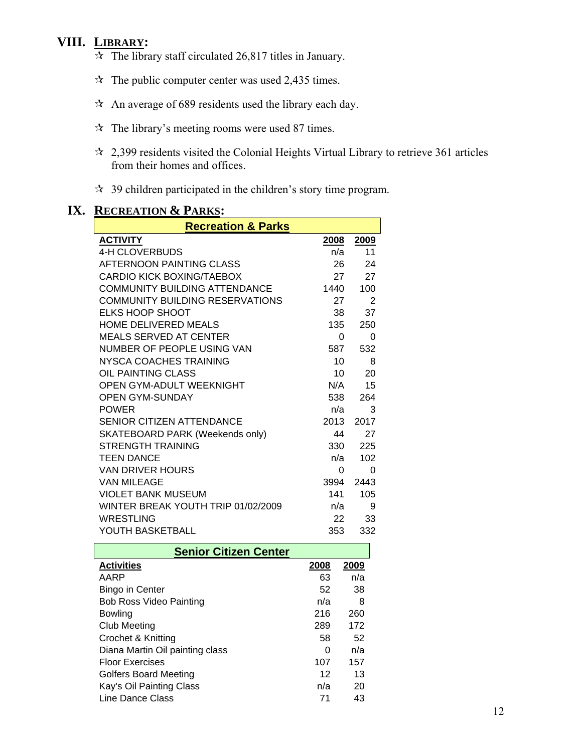### **VIII. LIBRARY:**

- $\overrightarrow{x}$  The library staff circulated 26,817 titles in January.
- $\approx$  The public computer center was used 2,435 times.
- $\lambda$  An average of 689 residents used the library each day.
- $\hat{x}$  The library's meeting rooms were used 87 times.
- $\approx$  2,399 residents visited the Colonial Heights Virtual Library to retrieve 361 articles from their homes and offices.
- $\approx$  39 children participated in the children's story time program.

| <b>Recreation &amp; Pa</b> |
|----------------------------|
| <b>ACTIVITY</b>            |
| 4-H CLOVERBUDS             |
| AFTERNOON PAINTING CLASS   |
| CARDIO KICK BOXING/TAEBOX  |
|                            |

### **IX. RECREATION & PARKS:**

| <b>Recreation &amp; Parks</b>          |          |      |  |  |
|----------------------------------------|----------|------|--|--|
| <b>ACTIVITY</b>                        | 2008     | 2009 |  |  |
| <b>4-H CLOVERBUDS</b>                  | n/a      | 11   |  |  |
| AFTERNOON PAINTING CLASS               | 26       | 24   |  |  |
| <b>CARDIO KICK BOXING/TAEBOX</b>       | 27       | 27   |  |  |
| <b>COMMUNITY BUILDING ATTENDANCE</b>   | 1440     | 100  |  |  |
| <b>COMMUNITY BUILDING RESERVATIONS</b> | 27       | 2    |  |  |
| <b>ELKS HOOP SHOOT</b>                 | 38       | 37   |  |  |
| <b>HOME DELIVERED MEALS</b>            | 135      | 250  |  |  |
| MEALS SERVED AT CENTER                 | $\Omega$ | 0    |  |  |
| NUMBER OF PEOPLE USING VAN             | 587      | 532  |  |  |
| NYSCA COACHES TRAINING                 | 10       | 8    |  |  |
| OIL PAINTING CLASS                     | 10       | 20   |  |  |
| OPEN GYM-ADULT WEEKNIGHT               | N/A      | 15   |  |  |
| <b>OPEN GYM-SUNDAY</b>                 | 538      | 264  |  |  |
| <b>POWER</b>                           | n/a      | 3    |  |  |
| <b>SENIOR CITIZEN ATTENDANCE</b>       | 2013     | 2017 |  |  |
| <b>SKATEBOARD PARK (Weekends only)</b> | 44       | 27   |  |  |
| <b>STRENGTH TRAINING</b>               | 330      | 225  |  |  |
| <b>TEEN DANCE</b>                      | n/a      | 102  |  |  |
| <b>VAN DRIVER HOURS</b>                | 0        | 0    |  |  |
| VAN MILEAGE                            | 3994     | 2443 |  |  |
| <b>VIOLET BANK MUSEUM</b>              | 141      | 105  |  |  |
| WINTER BREAK YOUTH TRIP 01/02/2009     | n/a      | 9    |  |  |
| <b>WRESTLING</b>                       | 22       | 33   |  |  |
| YOUTH BASKETBALL                       | 353      | 332  |  |  |
| Sanior Citizan Cantar                  |          |      |  |  |

| <b>Senior Citizen Center</b>    |      |      |  |
|---------------------------------|------|------|--|
| <b>Activities</b>               | 2008 | 2009 |  |
| AARP                            | 63   | n/a  |  |
| <b>Bingo in Center</b>          | 52   | 38   |  |
| <b>Bob Ross Video Painting</b>  | n/a  | 8    |  |
| Bowling                         | 216  | 260  |  |
| <b>Club Meeting</b>             | 289  | 172  |  |
| Crochet & Knitting              | 58   | 52   |  |
| Diana Martin Oil painting class | 0    | n/a  |  |
| <b>Floor Exercises</b>          | 107  | 157  |  |
| <b>Golfers Board Meeting</b>    | 12   | 13   |  |
| Kay's Oil Painting Class        | n/a  | 20   |  |
| Line Dance Class                | 71   | 43   |  |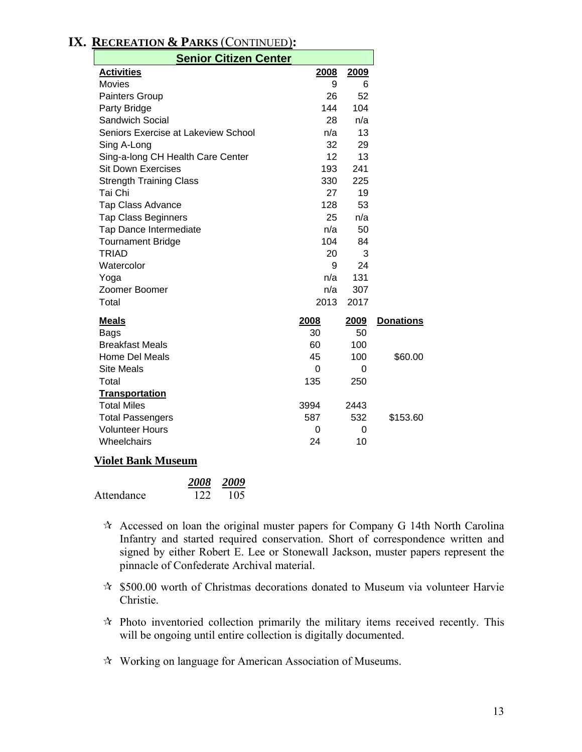### **IX. RECREATION & PARKS** (CONTINUED)**:**

| <b>Senior Citizen Center</b>        |      |             |                  |
|-------------------------------------|------|-------------|------------------|
| <b>Activities</b>                   | 2008 | 2009        |                  |
| <b>Movies</b>                       | 9    | 6           |                  |
| Painters Group                      | 26   | 52          |                  |
| Party Bridge                        | 144  | 104         |                  |
| <b>Sandwich Social</b>              | 28   | n/a         |                  |
| Seniors Exercise at Lakeview School | n/a  | 13          |                  |
| Sing A-Long                         | 32   | 29          |                  |
| Sing-a-long CH Health Care Center   | 12   | 13          |                  |
| <b>Sit Down Exercises</b>           | 193  | 241         |                  |
| <b>Strength Training Class</b>      | 330  | 225         |                  |
| Tai Chi                             | 27   | 19          |                  |
| <b>Tap Class Advance</b>            | 128  | 53          |                  |
| <b>Tap Class Beginners</b>          | 25   | n/a         |                  |
| Tap Dance Intermediate              | n/a  | 50          |                  |
| <b>Tournament Bridge</b>            | 104  | 84          |                  |
| <b>TRIAD</b>                        | 20   | 3           |                  |
| Watercolor                          | 9    | 24          |                  |
| Yoga                                | n/a  | 131         |                  |
| Zoomer Boomer                       | n/a  | 307         |                  |
| Total                               | 2013 | 2017        |                  |
| <b>Meals</b>                        | 2008 | <u>2009</u> | <b>Donations</b> |
| <b>Bags</b>                         | 30   | 50          |                  |
| <b>Breakfast Meals</b>              | 60   | 100         |                  |
| Home Del Meals                      | 45   | 100         | \$60.00          |
| <b>Site Meals</b>                   | 0    | 0           |                  |
| Total                               | 135  | 250         |                  |
| <b>Transportation</b>               |      |             |                  |
| <b>Total Miles</b>                  | 3994 | 2443        |                  |
| <b>Total Passengers</b>             | 587  | 532         | \$153.60         |
| <b>Volunteer Hours</b>              | 0    | 0           |                  |
| Wheelchairs                         | 24   | 10          |                  |
| Violot Donk Museu                   |      |             |                  |

#### **Violet Bank Museum**

|            |     | 2008 2009 |
|------------|-----|-----------|
| Attendance | 122 | -105      |

- $\hat{\mathbf{x}}$  Accessed on loan the original muster papers for Company G 14th North Carolina Infantry and started required conservation. Short of correspondence written and signed by either Robert E. Lee or Stonewall Jackson, muster papers represent the pinnacle of Confederate Archival material.
- $\approx$  \$500.00 worth of Christmas decorations donated to Museum via volunteer Harvie Christie.
- $\star$  Photo inventoried collection primarily the military items received recently. This will be ongoing until entire collection is digitally documented.
- Working on language for American Association of Museums.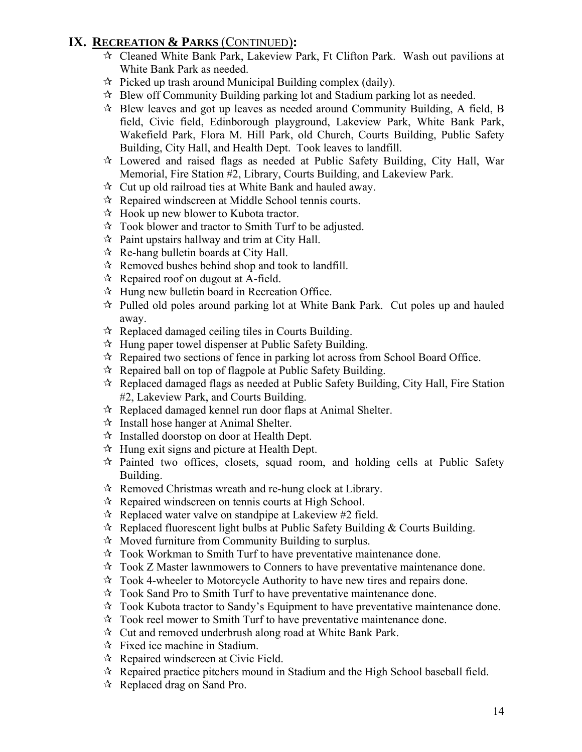### **IX. RECREATION & PARKS** (CONTINUED)**:**

- Cleaned White Bank Park, Lakeview Park, Ft Clifton Park. Wash out pavilions at White Bank Park as needed.
- $\approx$  Picked up trash around Municipal Building complex (daily).
- $\hat{\varphi}$  Blew off Community Building parking lot and Stadium parking lot as needed.
- $\star$  Blew leaves and got up leaves as needed around Community Building, A field, B field, Civic field, Edinborough playground, Lakeview Park, White Bank Park, Wakefield Park, Flora M. Hill Park, old Church, Courts Building, Public Safety Building, City Hall, and Health Dept. Took leaves to landfill.
- Lowered and raised flags as needed at Public Safety Building, City Hall, War Memorial, Fire Station #2, Library, Courts Building, and Lakeview Park.
- $\mathcal{R}$  Cut up old railroad ties at White Bank and hauled away.
- $\lambda$  Repaired windscreen at Middle School tennis courts.
- $\mathcal{A}$  Hook up new blower to Kubota tractor.
- $\lambda$  Took blower and tractor to Smith Turf to be adjusted.
- $\hat{x}$  Paint upstairs hallway and trim at City Hall.
- $\mathcal{R}$  Re-hang bulletin boards at City Hall.
- $\mathcal{R}$  Removed bushes behind shop and took to landfill.
- $\mathcal{R}$  Repaired roof on dugout at A-field.
- $\mathcal{A}$  Hung new bulletin board in Recreation Office.
- $\hat{\tau}$  Pulled old poles around parking lot at White Bank Park. Cut poles up and hauled away.
- $\mathbf{\hat{x}}$  Replaced damaged ceiling tiles in Courts Building.
- $\mathcal{A}$  Hung paper towel dispenser at Public Safety Building.
- $\mathcal{R}$  Repaired two sections of fence in parking lot across from School Board Office.
- $\mathcal{R}$  Repaired ball on top of flagpole at Public Safety Building.
- Replaced damaged flags as needed at Public Safety Building, City Hall, Fire Station #2, Lakeview Park, and Courts Building.
- $\mathcal{R}$  Replaced damaged kennel run door flaps at Animal Shelter.
- $\mathcal{R}$  Install hose hanger at Animal Shelter.
- $\mathcal{R}$  Installed doorstop on door at Health Dept.
- $\mathcal{R}$  Hung exit signs and picture at Health Dept.
- $\star$  Painted two offices, closets, squad room, and holding cells at Public Safety Building.
- $\mathcal{R}$  Removed Christmas wreath and re-hung clock at Library.
- $\mathcal{R}$  Repaired windscreen on tennis courts at High School.
- $\approx$  Replaced water valve on standpipe at Lakeview #2 field.
- $\hat{\mathcal{R}}$  Replaced fluorescent light bulbs at Public Safety Building & Courts Building.
- $\mathcal{A}$  Moved furniture from Community Building to surplus.
- $\lambda$  Took Workman to Smith Turf to have preventative maintenance done.
- $\forall$  Took Z Master lawnmowers to Conners to have preventative maintenance done.
- $\lambda$  Took 4-wheeler to Motorcycle Authority to have new tires and repairs done.
- $\hat{x}$  Took Sand Pro to Smith Turf to have preventative maintenance done.
- $\lambda$  Took Kubota tractor to Sandy's Equipment to have preventative maintenance done.
- $\mathcal{R}$  Took reel mower to Smith Turf to have preventative maintenance done.
- $\mathcal{R}$  Cut and removed underbrush along road at White Bank Park.
- $\forall$  Fixed ice machine in Stadium.
- $\mathcal{R}$  Repaired windscreen at Civic Field.
- $\lambda$  Repaired practice pitchers mound in Stadium and the High School baseball field.
- $\star$  Replaced drag on Sand Pro.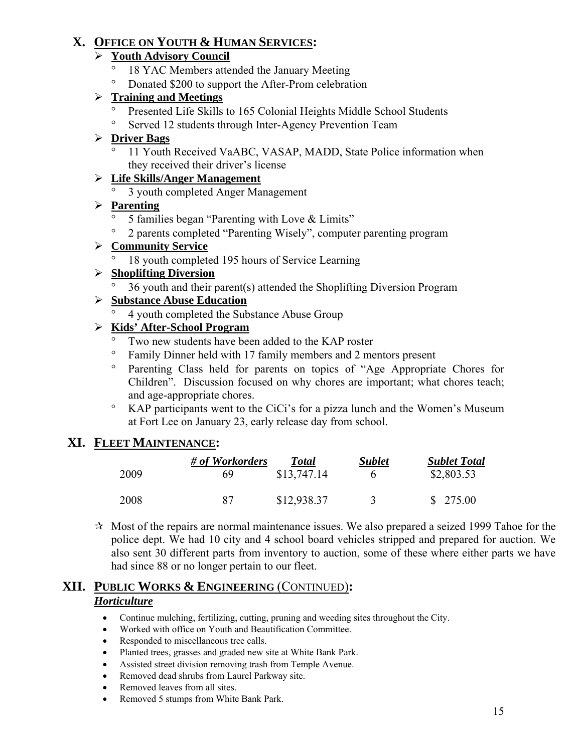### **X. OFFICE ON YOUTH & HUMAN SERVICES:**

### ¾ **Youth Advisory Council**

- ° 18 YAC Members attended the January Meeting
- ° Donated \$200 to support the After-Prom celebration

### ¾ **Training and Meetings**

- ° Presented Life Skills to 165 Colonial Heights Middle School Students
- ° Served 12 students through Inter-Agency Prevention Team

### ¾ **Driver Bags**

° 11 Youth Received VaABC, VASAP, MADD, State Police information when they received their driver's license

### ¾ **Life Skills/Anger Management**

° 3 youth completed Anger Management

### ¾ **Parenting**

- 5 families began "Parenting with Love & Limits"
- ° 2 parents completed "Parenting Wisely", computer parenting program

### ¾ **Community Service**

18 youth completed 195 hours of Service Learning

### ¾ **Shoplifting Diversion**

° 36 youth and their parent(s) attended the Shoplifting Diversion Program

### ¾ **Substance Abuse Education**

° 4 youth completed the Substance Abuse Group

### ¾ **Kids' After-School Program**

- Two new students have been added to the KAP roster
- ° Family Dinner held with 17 family members and 2 mentors present
- ° Parenting Class held for parents on topics of "Age Appropriate Chores for Children". Discussion focused on why chores are important; what chores teach; and age-appropriate chores.
- ° KAP participants went to the CiCi's for a pizza lunch and the Women's Museum at Fort Lee on January 23, early release day from school.

### **XI. FLEET MAINTENANCE:**

|      | # of Workorders | <b>Total</b> | <b>Sublet</b> | <b>Sublet Total</b> |
|------|-----------------|--------------|---------------|---------------------|
| 2009 | 69              | \$13,747.14  |               | \$2,803.53          |
| 2008 | 87              | \$12,938.37  |               | \$275.00            |

 $\mathcal{A}$  Most of the repairs are normal maintenance issues. We also prepared a seized 1999 Tahoe for the police dept. We had 10 city and 4 school board vehicles stripped and prepared for auction. We also sent 30 different parts from inventory to auction, some of these where either parts we have had since 88 or no longer pertain to our fleet.

### **XII. PUBLIC WORKS & ENGINEERING** (CONTINUED)**:** *Horticulture*

- Continue mulching, fertilizing, cutting, pruning and weeding sites throughout the City.
- Worked with office on Youth and Beautification Committee.
- Responded to miscellaneous tree calls.
- Planted trees, grasses and graded new site at White Bank Park.
- Assisted street division removing trash from Temple Avenue.
- Removed dead shrubs from Laurel Parkway site.
- Removed leaves from all sites.
- Removed 5 stumps from White Bank Park.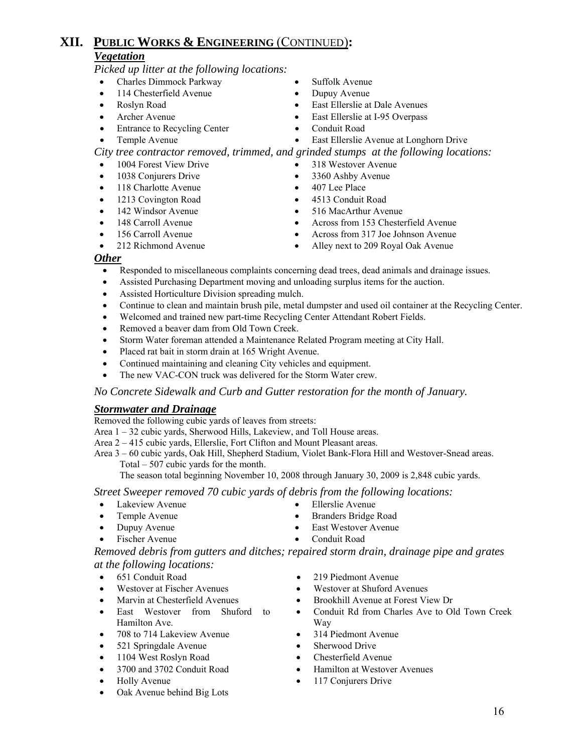# **XII. PUBLIC WORKS & ENGINEERING** (CONTINUED)**:**

#### *Vegetation*

*Picked up litter at the following locations:* 

- Charles Dimmock Parkway Suffolk Avenue
- 114 Chesterfield Avenue Dupuy Avenue
- 
- Archer Avenue East Ellerslie at I-95 Overpass
- Entrance to Recycling Center Conduit Road

- 
- 
- Roslyn Road East Ellerslie at Dale Avenues
	-
	-

# • Temple Avenue • East Ellerslie Avenue at Longhorn Drive

*City tree contractor removed, trimmed, and grinded stumps at the following locations:* 

- 1004 Forest View Drive 318 Westover Avenue
- 1038 Conjurers Drive 3360 Ashby Avenue
- 118 Charlotte Avenue 407 Lee Place
- 1213 Covington Road 4513 Conduit Road
- 
- 
- 
- 
- 142 Windsor Avenue 516 MacArthur Avenue
	- 148 Carroll Avenue Across from 153 Chesterfield Avenue
	- 156 Carroll Avenue Across from 317 Joe Johnson Avenue
- 212 Richmond Avenue Alley next to 209 Royal Oak Avenue

#### *Other*

- Responded to miscellaneous complaints concerning dead trees, dead animals and drainage issues.
- Assisted Purchasing Department moving and unloading surplus items for the auction.
- Assisted Horticulture Division spreading mulch.
- Continue to clean and maintain brush pile, metal dumpster and used oil container at the Recycling Center.
- Welcomed and trained new part-time Recycling Center Attendant Robert Fields.
- Removed a beaver dam from Old Town Creek.
- Storm Water foreman attended a Maintenance Related Program meeting at City Hall.
- Placed rat bait in storm drain at 165 Wright Avenue.
- Continued maintaining and cleaning City vehicles and equipment.
- The new VAC-CON truck was delivered for the Storm Water crew.

*No Concrete Sidewalk and Curb and Gutter restoration for the month of January.*

#### *Stormwater and Drainage*

Removed the following cubic yards of leaves from streets:

Area 1 – 32 cubic yards, Sherwood Hills, Lakeview, and Toll House areas.

Area 2 – 415 cubic yards, Ellerslie, Fort Clifton and Mount Pleasant areas.

 Area 3 – 60 cubic yards, Oak Hill, Shepherd Stadium, Violet Bank-Flora Hill and Westover-Snead areas. Total – 507 cubic yards for the month.

The season total beginning November 10, 2008 through January 30, 2009 is 2,848 cubic yards.

*Street Sweeper removed 70 cubic yards of debris from the following locations:* 

- Lakeview Avenue Ellerslie Avenue
- Temple Avenue Branders Bridge Road
- Dupuy Avenue East Westover Avenue
- Fischer Avenue Conduit Road
- -

*Removed debris from gutters and ditches; repaired storm drain, drainage pipe and grates at the following locations:* 

- 
- 
- 
- East Westover from Shuford to Hamilton Ave.
- 708 to 714 Lakeview Avenue 314 Piedmont Avenue
- 521 Springdale Avenue Sherwood Drive
- 1104 West Roslyn Road Chesterfield Avenue
- 
- 
- Oak Avenue behind Big Lots
- 651 Conduit Road 219 Piedmont Avenue
	- Westover at Fischer Avenues Westover at Shuford Avenues
	- Marvin at Chesterfield Avenues Brookhill Avenue at Forest View Dr
		- Conduit Rd from Charles Ave to Old Town Creek Way
		-
		-
		-
	- 3700 and 3702 Conduit Road Hamilton at Westover Avenues
- Holly Avenue 117 Conjurers Drive
- 
- -
	-
	-
	-
	-
	-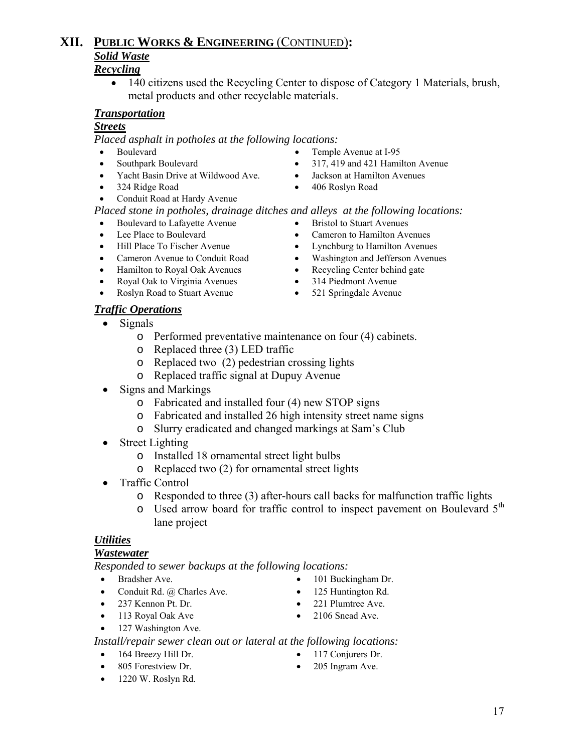#### • 140 citizens used the Recycling Center to dispose of Category 1 Materials, brush, metal products and other recyclable materials.

#### *Transportation*

#### *Streets*

*Placed asphalt in potholes at the following locations:*

- Boulevard Temple Avenue at I-95
- Southpark Boulevard 317, 419 and 421 Hamilton Avenue
- Yacht Basin Drive at Wildwood Ave. Jackson at Hamilton Avenues
- 324 Ridge Road 406 Roslyn Road
- Conduit Road at Hardy Avenue

#### *Placed stone in potholes, drainage ditches and alleys at the following locations:*

- Boulevard to Lafayette Avenue Bristol to Stuart Avenues
- 
- 
- 
- Hamilton to Royal Oak Avenues Recycling Center behind gate
- Royal Oak to Virginia Avenues 314 Piedmont Avenue
- Roslyn Road to Stuart Avenue 521 Springdale Avenue
- *Traffic Operations*
	- Signals
		- o Performed preventative maintenance on four (4) cabinets.
		- o Replaced three (3) LED traffic
		- o Replaced two (2) pedestrian crossing lights
		- o Replaced traffic signal at Dupuy Avenue
	- Signs and Markings
		- o Fabricated and installed four (4) new STOP signs
		- o Fabricated and installed 26 high intensity street name signs
		- o Slurry eradicated and changed markings at Sam's Club
	- Street Lighting
		- o Installed 18 ornamental street light bulbs
		- o Replaced two (2) for ornamental street lights
	- Traffic Control
		- o Responded to three (3) after-hours call backs for malfunction traffic lights
		- o Used arrow board for traffic control to inspect pavement on Boulevard 5<sup>th</sup> lane project

#### *Utilities*

#### *Wastewater*

*Responded to sewer backups at the following locations:*

- 
- Conduit Rd. @ Charles Ave. 125 Huntington Rd.
- 237 Kennon Pt. Dr. 221 Plumtree Ave.
- 113 Royal Oak Ave 2106 Snead Ave.
- 127 Washington Ave.

*Install/repair sewer clean out or lateral at the following locations:*

- 
- 1220 W. Roslyn Rd.
- Bradsher Ave. 101 Buckingham Dr.
	-
	-
	-
	-
- 805 Forestview Dr. 205 Ingram Ave.

- 
- Lee Place to Boulevard Cameron to Hamilton Avenues
- Hill Place To Fischer Avenue Lynchburg to Hamilton Avenues
	- Cameron Avenue to Conduit Road Washington and Jefferson Avenues
		-
		-
		-
- -
	-
	-
	-
	-
	-
	-

# **XII. PUBLIC WORKS & ENGINEERING** (CONTINUED)**:** *Solid Waste*

### *Recycling*

- 
- 164 Breezy Hill Dr. 117 Conjurers Dr.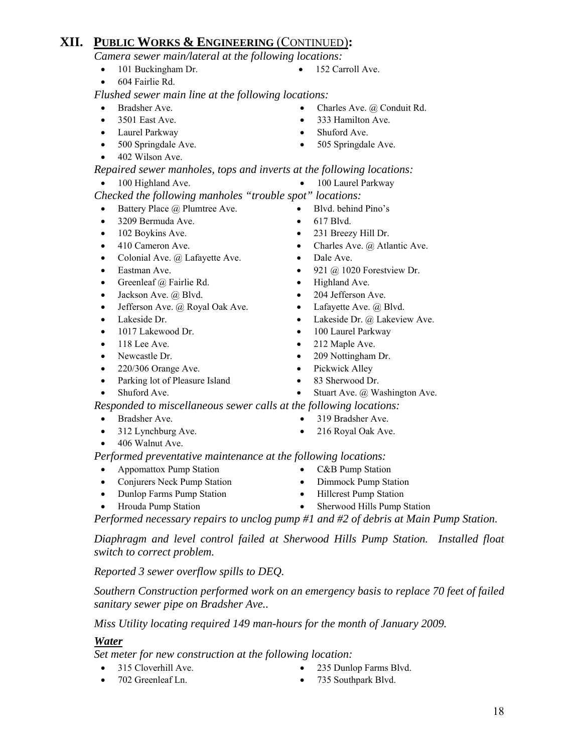# **XII. PUBLIC WORKS & ENGINEERING** (CONTINUED)**:**

*Camera sewer main/lateral at the following locations:*

- 101 Buckingham Dr. 152 Carroll Ave.
- 604 Fairlie Rd.

*Flushed sewer main line at the following locations:* 

- 
- 
- Laurel Parkway Shuford Ave.
- 
- 402 Wilson Ave.

 *Repaired sewer manholes, tops and inverts at the following locations:* 

- 
- *Checked the following manholes "trouble spot" locations:* 
	- Battery Place @ Plumtree Ave. Blvd. behind Pino's
	- 3209 Bermuda Ave. 617 Blvd.
	-
	-
	- Colonial Ave. @ Lafayette Ave. Dale Ave.
	-
	- Greenleaf @ Fairlie Rd. Highland Ave.
	- Jackson Ave. @ Blvd. 204 Jefferson Ave.
	- Jefferson Ave. @ Royal Oak Ave. Lafayette Ave. @ Blvd.
	-
	-
	-
	-
	- 220/306 Orange Ave. Pickwick Alley
	- Parking lot of Pleasure Island 83 Sherwood Dr.
- 

*Responded to miscellaneous sewer calls at the following locations:* 

- Bradsher Ave. 319 Bradsher Ave.
- 312 Lynchburg Ave. 216 Royal Oak Ave.
- 406 Walnut Ave.

 *Performed preventative maintenance at the following locations:* 

- Appomattox Pump Station C&B Pump Station
- Conjurers Neck Pump Station Dimmock Pump Station
- Dunlop Farms Pump Station Hillcrest Pump Station
- 
- 
- 
- 
- Hrouda Pump Station Sherwood Hills Pump Station

 *Performed necessary repairs to unclog pump #1 and #2 of debris at Main Pump Station.* 

 *Diaphragm and level control failed at Sherwood Hills Pump Station. Installed float switch to correct problem.* 

 *Reported 3 sewer overflow spills to DEQ.* 

 *Southern Construction performed work on an emergency basis to replace 70 feet of failed sanitary sewer pipe on Bradsher Ave..* 

 *Miss Utility locating required 149 man-hours for the month of January 2009.* 

### *Water*

*Set meter for new construction at the following location:*

- 
- 315 Cloverhill Ave. 235 Dunlop Farms Blvd.
	- 702 Greenleaf Ln. 735 Southpark Blvd.
- 
- 
- Bradsher Ave. Charles Ave. @ Conduit Rd.
	- 3501 East Ave. 333 Hamilton Ave.
		-
- 500 Springdale Ave. 505 Springdale Ave.
- 100 Highland Ave. 100 Laurel Parkway
	-
	-
	-
- 102 Boykins Ave. 231 Breezy Hill Dr.
- 410 Cameron Ave. Charles Ave. @ Atlantic Ave.
	-
- Eastman Ave. 921 @ 1020 Forestview Dr.
	-
	-
	-
- Lakeside Dr. Lakeside Dr. @ Lakeside Dr. @ Lakeview Ave.
- 1017 Lakewood Dr. 100 Laurel Parkway
- 118 Lee Ave. 212 Maple Ave.
- Newcastle Dr. 209 Nottingham Dr.
	-
	-
- Shuford Ave. Stuart Ave. @ Washington Ave.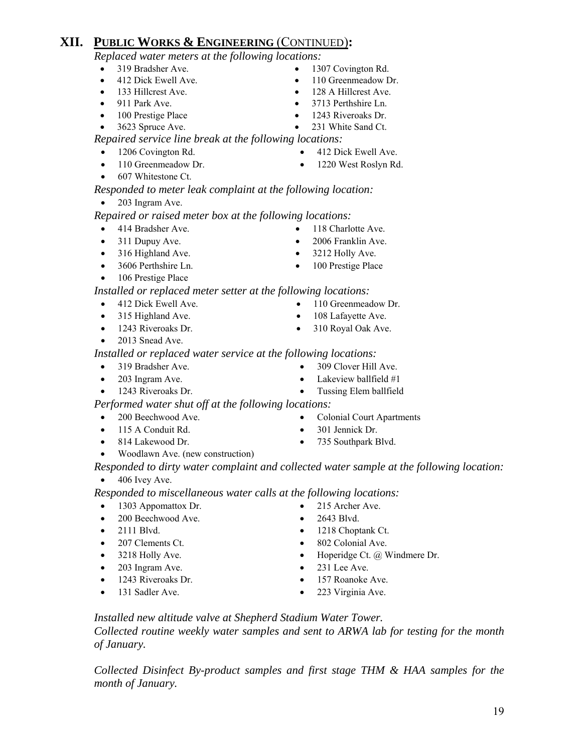### **XII. PUBLIC WORKS & ENGINEERING** (CONTINUED)**:**

*Replaced water meters at the following locations:* 

- 
- 
- 
- 
- 
- 3623 Spruce Ave. 231 White Sand Ct.

*Repaired service line break at the following locations:*

- 
- 
- 607 Whitestone Ct.

*Responded to meter leak complaint at the following location:* 

• 203 Ingram Ave.

 *Repaired or raised meter box at the following locations:* 

- 414 Bradsher Ave. 118 Charlotte Ave.
- 
- 316 Highland Ave. 3212 Holly Ave.
- 
- 106 Prestige Place

*Installed or replaced meter setter at the following locations:*

- 412 Dick Ewell Ave. 110 Greenmeadow Dr.
- 315 Highland Ave. 108 Lafayette Ave.
- 
- 2013 Snead Ave.

*Installed or replaced water service at the following locations:* 

- 
- 
- 1243 Riveroaks Dr. Tussing Elem ballfield

*Performed water shut off at the following locations:* 

- 
- 
- 
- Woodlawn Ave. (new construction)
- *Responded to dirty water complaint and collected water sample at the following location:*
- $\bullet$  406 Ivey Ave.
- *Responded to miscellaneous water calls at the following locations:*  • 1303 Appomattox Dr. • 215 Archer Ave.
	- 200 Beechwood Ave. 2643 Blvd.
	-
- 
- 
- 203 Ingram Ave. 231 Lee Ave.
- 1243 Riveroaks Dr. 157 Roanoke Ave.
- 
- 
- 
- 2111 Blvd. 1218 Choptank Ct.
- 207 Clements Ct. 802 Colonial Ave.
- 3218 Holly Ave. Hoperidge Ct. @ Windmere Dr.
- 131 Sadler Ave. 223 Virginia Ave.

 *Installed new altitude valve at Shepherd Stadium Water Tower. Collected routine weekly water samples and sent to ARWA lab for testing for the month of January.* 

*Collected Disinfect By-product samples and first stage THM & HAA samples for the month of January.* 

- 319 Bradsher Ave. 1307 Covington Rd.
	- 412 Dick Ewell Ave. 110 Greenmeadow Dr.
	- 133 Hillcrest Ave. 128 A Hillcrest Ave.
- 911 Park Ave. 3713 Perthshire Ln.
	- 100 Prestige Place 1243 Riveroaks Dr.

- 1206 Covington Rd. 412 Dick Ewell Ave.
- 110 Greenmeadow Dr. 1220 West Roslyn Rd.
- 311 Dupuy Ave. 2006 Franklin Ave.
	-
- 3606 Perthshire Ln. 100 Prestige Place
	-
	-
- 1243 Riveroaks Dr. 310 Royal Oak Ave.
- 319 Bradsher Ave. 309 Clover Hill Ave.
- 203 Ingram Ave. **•** Lakeview ballfield #1
	-
	- -
		-
- 
- 200 Beechwood Ave. Colonial Court Apartments
	-
	-
- -
	-
	-
- 115 A Conduit Rd. 301 Jennick Dr.
- 814 Lakewood Dr. 735 Southpark Blvd.
	-
	-
	-
	-